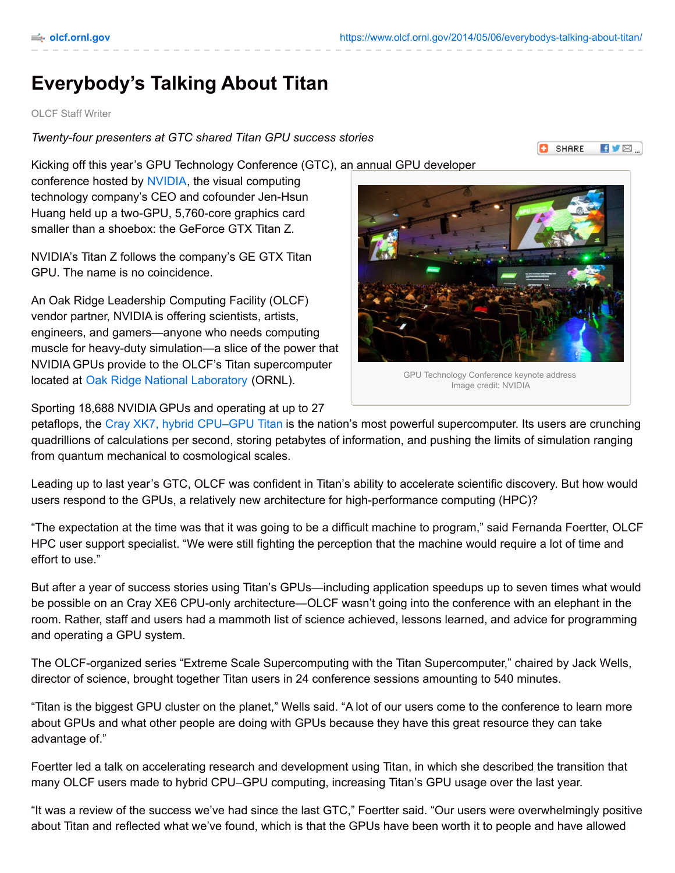SHARE

KY⊠…

## **Everybody's Talking About Titan**

## OLCF Staff Writer

*Twenty-four presenters at GTC shared Titan GPU success stories*

Kicking off this year's GPU Technology Conference (GTC), an annual GPU developer

conference hosted by [NVIDIA](http://www.nvidia.com/), the visual computing technology company's CEO and cofounder Jen-Hsun Huang held up a two-GPU, 5,760-core graphics card smaller than a shoebox: the GeForce GTX Titan Z.

NVIDIA's Titan Z follows the company's GE GTX Titan GPU. The name is no coincidence.

An Oak Ridge Leadership Computing Facility (OLCF) vendor partner, NVIDIA is offering scientists, artists, engineers, and gamers—anyone who needs computing muscle for heavy-duty simulation—a slice of the power that NVIDIA GPUs provide to the OLCF's Titan supercomputer located at Oak Ridge National [Laboratory](http://www.ornl.gov/) (ORNL).

Sporting 18,688 NVIDIA GPUs and operating at up to 27

GPU Technology Conference keynote address Image credit: NVIDIA

petaflops, the Cray XK7, hybrid [CPU–GPU](https://www.olcf.ornl.gov/computing-resources/titan-cray-xk7/) Titan is the nation's most powerful supercomputer. Its users are crunching quadrillions of calculations per second, storing petabytes of information, and pushing the limits of simulation ranging from quantum mechanical to cosmological scales.

Leading up to last year's GTC, OLCF was confident in Titan's ability to accelerate scientific discovery. But how would users respond to the GPUs, a relatively new architecture for high-performance computing (HPC)?

"The expectation at the time was that it was going to be a difficult machine to program," said Fernanda Foertter, OLCF HPC user support specialist. "We were still fighting the perception that the machine would require a lot of time and effort to use."

But after a year of success stories using Titan's GPUs—including application speedups up to seven times what would be possible on an Cray XE6 CPU-only architecture—OLCF wasn't going into the conference with an elephant in the room. Rather, staff and users had a mammoth list of science achieved, lessons learned, and advice for programming and operating a GPU system.

The OLCF-organized series "Extreme Scale Supercomputing with the Titan Supercomputer," chaired by Jack Wells, director of science, brought together Titan users in 24 conference sessions amounting to 540 minutes.

"Titan is the biggest GPU cluster on the planet," Wells said. "A lot of our users come to the conference to learn more about GPUs and what other people are doing with GPUs because they have this great resource they can take advantage of."

Foertter led a talk on accelerating research and development using Titan, in which she described the transition that many OLCF users made to hybrid CPU–GPU computing, increasing Titan's GPU usage over the last year.

"It was a review of the success we've had since the last GTC," Foertter said. "Our users were overwhelmingly positive about Titan and reflected what we've found, which is that the GPUs have been worth it to people and have allowed